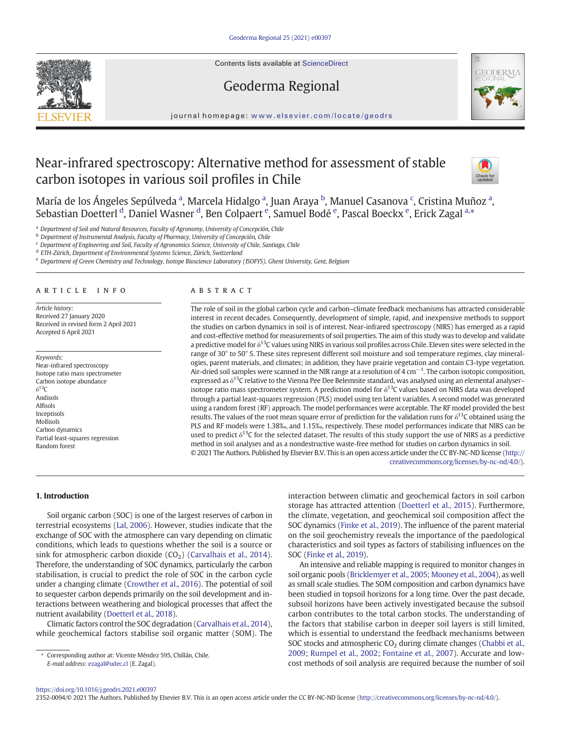Contents lists available at [ScienceDirect](http://www.sciencedirect.com/science/journal/)



Geoderma Regional



journal homepage: <www.elsevier.com/locate/geodrs>

# Near-infrared spectroscopy: Alternative method for assessment of stable carbon isotopes in various soil profiles in Chile



María de los Ángeles Sepúlveda ª, Marcela Hidalgo ª, Juan Araya <sup>b</sup>, Manuel Casanova <sup>c</sup>, Cristina Muñoz ª, Sebastian Doetterl <sup>d</sup>, Daniel Wasner <sup>d</sup>, Ben Colpaert <sup>e</sup>, Samuel Bodé <sup>e</sup>, Pascal Boeckx <sup>e</sup>, Erick Zagal <sup>a,</sup>\*

Department of Soil and Natural Resources, Faculty of Agronomy, University of Concepción, Chile

**b** Department of Instrumental Analysis, Faculty of Pharmacy, University of Concepción, Chile

 $c$  Department of Engineering and Soil, Faculty of Agronomics Science, University of Chile, Santiago, Chile

<sup>d</sup> ETH-Zürich, Department of Environmental Systems Science, Zürich, Switzerland

<sup>e</sup> Department of Green Chemistry and Technology, Isotope Bioscience Laboratory (ISOFYS), Ghent University, Gent, Belgium

# article info abstract

Article history: Received 27 January 2020 Received in revised form 2 April 2021 Accepted 6 April 2021

Keywords: Near-infrared spectroscopy Isotope ratio mass spectrometer Carbon isotope abundance  $δ<sup>13</sup>C$ Andisols Alfisols Inceptisols Mollisols Carbon dynamics Partial least-squares regression Random forest

The role of soil in the global carbon cycle and carbon–climate feedback mechanisms has attracted considerable interest in recent decades. Consequently, development of simple, rapid, and inexpensive methods to support the studies on carbon dynamics in soil is of interest. Near-infrared spectroscopy (NIRS) has emerged as a rapid and cost-effective method for measurements of soil properties. The aim of this study was to develop and validate a predictive model for  $\delta^{13}$ C values using NIRS in various soil profiles across Chile. Eleven sites were selected in the range of 30° to 50° S. These sites represent different soil moisture and soil temperature regimes, clay mineralogies, parent materials, and climates; in addition, they have prairie vegetation and contain C3-type vegetation. Air-dried soil samples were scanned in the NIR range at a resolution of 4 cm<sup>-1</sup>. The carbon isotopic composition, expressed as  $\delta^{13}$ C relative to the Vienna Pee Dee Belemnite standard, was analysed using an elemental analyser– isotope ratio mass spectrometer system. A prediction model for  $\delta^{13}$ C values based on NIRS data was developed through a partial least-squares regression (PLS) model using ten latent variables. A second model was generated using a random forest (RF) approach. The model performances were acceptable. The RF model provided the best results. The values of the root mean square error of prediction for the validation runs for  $\delta^{13}$ C obtained using the PLS and RF models were 1.38‰, and 1.15‰, respectively. These model performances indicate that NIRS can be used to predict  $\delta^{13}C$  for the selected dataset. The results of this study support the use of NIRS as a predictive method in soil analyses and as a nondestructive waste-free method for studies on carbon dynamics in soil. © 2021 The Authors. Published by Elsevier B.V. This is an open access article under the CC BY-NC-ND license ([http://](http://creativecommons.org/licenses/by-nc-nd/4.0/)

[creativecommons.org/licenses/by-nc-nd/4.0/\)](http://creativecommons.org/licenses/by-nc-nd/4.0/).

# 1. Introduction

Soil organic carbon (SOC) is one of the largest reserves of carbon in terrestrial ecosystems ([Lal, 2006](#page-7-0)). However, studies indicate that the exchange of SOC with the atmosphere can vary depending on climatic conditions, which leads to questions whether the soil is a source or sink for atmospheric carbon dioxide  $(CO<sub>2</sub>)$  [\(Carvalhais et al., 2014\)](#page-7-0). Therefore, the understanding of SOC dynamics, particularly the carbon stabilisation, is crucial to predict the role of SOC in the carbon cycle under a changing climate [\(Crowther et al., 2016](#page-7-0)). The potential of soil to sequester carbon depends primarily on the soil development and interactions between weathering and biological processes that affect the nutrient availability [\(Doetterl et al., 2018](#page-7-0)).

Climatic factors control the SOC degradation ([Carvalhais et al., 2014\)](#page-7-0), while geochemical factors stabilise soil organic matter (SOM). The interaction between climatic and geochemical factors in soil carbon storage has attracted attention ([Doetterl et al., 2015\)](#page-7-0). Furthermore, the climate, vegetation, and geochemical soil composition affect the SOC dynamics [\(Finke et al., 2019\)](#page-7-0). The influence of the parent material on the soil geochemistry reveals the importance of the paedological characteristics and soil types as factors of stabilising influences on the SOC [\(Finke et al., 2019\)](#page-7-0).

An intensive and reliable mapping is required to monitor changes in soil organic pools ([Bricklemyer et al., 2005;](#page-7-0) [Mooney et al., 2004](#page-7-0)), as well as small scale studies. The SOM composition and carbon dynamics have been studied in topsoil horizons for a long time. Over the past decade, subsoil horizons have been actively investigated because the subsoil carbon contributes to the total carbon stocks. The understanding of the factors that stabilise carbon in deeper soil layers is still limited, which is essential to understand the feedback mechanisms between SOC stocks and atmospheric  $CO<sub>2</sub>$  during climate changes ([Chabbi et al.,](#page-7-0) [2009;](#page-7-0) [Rumpel et al., 2002](#page-7-0); [Fontaine et al., 2007\)](#page-7-0). Accurate and lowcost methods of soil analysis are required because the number of soil

### <https://doi.org/10.1016/j.geodrs.2021.e00397>

2352-0094/© 2021 The Authors. Published by Elsevier B.V. This is an open access article under the CC BY-NC-ND license (<http://creativecommons.org/licenses/by-nc-nd/4.0/>).

<sup>⁎</sup> Corresponding author at: Vicente Méndez 595, Chillán, Chile. E-mail address: [ezagal@udec.cl](mailto:ezagal@udec.cl) (E. Zagal).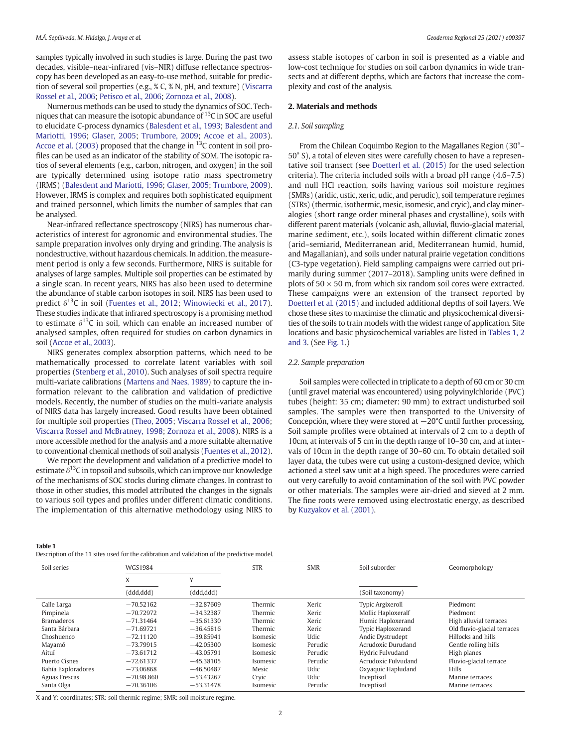<span id="page-1-0"></span>samples typically involved in such studies is large. During the past two decades, visible–near-infrared (vis–NIR) diffuse reflectance spectroscopy has been developed as an easy-to-use method, suitable for prediction of several soil properties (e.g., % C, % N, pH, and texture) [\(Viscarra](#page-7-0) [Rossel et al., 2006](#page-7-0); [Petisco et al., 2006](#page-7-0); [Zornoza et al., 2008\)](#page-7-0).

Numerous methods can be used to study the dynamics of SOC. Techniques that can measure the isotopic abundance of  $^{13}$ C in SOC are useful to elucidate C-process dynamics ([Balesdent et al., 1993](#page-7-0); [Balesdent and](#page-7-0) [Mariotti, 1996;](#page-7-0) [Glaser, 2005](#page-7-0); [Trumbore, 2009;](#page-7-0) [Accoe et al., 2003\)](#page-7-0). [Accoe et al. \(2003\)](#page-7-0) proposed that the change in  $^{13}$ C content in soil profiles can be used as an indicator of the stability of SOM. The isotopic ratios of several elements (e.g., carbon, nitrogen, and oxygen) in the soil are typically determined using isotope ratio mass spectrometry (IRMS) [\(Balesdent and Mariotti, 1996;](#page-7-0) [Glaser, 2005;](#page-7-0) [Trumbore, 2009\)](#page-7-0). However, IRMS is complex and requires both sophisticated equipment and trained personnel, which limits the number of samples that can be analysed.

Near-infrared reflectance spectroscopy (NIRS) has numerous characteristics of interest for agronomic and environmental studies. The sample preparation involves only drying and grinding. The analysis is nondestructive, without hazardous chemicals. In addition, the measurement period is only a few seconds. Furthermore, NIRS is suitable for analyses of large samples. Multiple soil properties can be estimated by a single scan. In recent years, NIRS has also been used to determine the abundance of stable carbon isotopes in soil. NIRS has been used to predict  $\delta^{13}$ C in soil ([Fuentes et al., 2012](#page-7-0); [Winowiecki et al., 2017\)](#page-7-0). These studies indicate that infrared spectroscopy is a promising method to estimate  $\delta^{13}$ C in soil, which can enable an increased number of analysed samples, often required for studies on carbon dynamics in soil [\(Accoe et al., 2003](#page-7-0)).

NIRS generates complex absorption patterns, which need to be mathematically processed to correlate latent variables with soil properties [\(Stenberg et al., 2010](#page-7-0)). Such analyses of soil spectra require multi-variate calibrations [\(Martens and Naes, 1989\)](#page-7-0) to capture the information relevant to the calibration and validation of predictive models. Recently, the number of studies on the multi-variate analysis of NIRS data has largely increased. Good results have been obtained for multiple soil properties [\(Theo, 2005;](#page-7-0) [Viscarra Rossel et al., 2006](#page-7-0); [Viscarra Rossel and McBratney, 1998;](#page-7-0) [Zornoza et al., 2008\)](#page-7-0). NIRS is a more accessible method for the analysis and a more suitable alternative to conventional chemical methods of soil analysis [\(Fuentes et al., 2012\)](#page-7-0).

We report the development and validation of a predictive model to estimate  $\delta^{13}$ C in topsoil and subsoils, which can improve our knowledge of the mechanisms of SOC stocks during climate changes. In contrast to those in other studies, this model attributed the changes in the signals to various soil types and profiles under different climatic conditions. The implementation of this alternative methodology using NIRS to

Table 1

Description of the 11 sites used for the calibration and validation of the predictive model.

assess stable isotopes of carbon in soil is presented as a viable and low-cost technique for studies on soil carbon dynamics in wide transects and at different depths, which are factors that increase the complexity and cost of the analysis.

# 2. Materials and methods

# 2.1. Soil sampling

From the Chilean Coquimbo Region to the Magallanes Region (30°– 50° S), a total of eleven sites were carefully chosen to have a representative soil transect (see [Doetterl et al. \(2015\)](#page-7-0) for the used selection criteria). The criteria included soils with a broad pH range (4.6–7.5) and null HCl reaction, soils having various soil moisture regimes (SMRs) (aridic, ustic, xeric, udic, and perudic), soil temperature regimes (STRs) (thermic, isothermic, mesic, isomesic, and cryic), and clay mineralogies (short range order mineral phases and crystalline), soils with different parent materials (volcanic ash, alluvial, fluvio-glacial material, marine sediment, etc.), soils located within different climatic zones (arid–semiarid, Mediterranean arid, Mediterranean humid, humid, and Magallanian), and soils under natural prairie vegetation conditions (C3-type vegetation). Field sampling campaigns were carried out primarily during summer (2017–2018). Sampling units were defined in plots of  $50 \times 50$  m, from which six random soil cores were extracted. These campaigns were an extension of the transect reported by [Doetterl et al. \(2015\)](#page-7-0) and included additional depths of soil layers. We chose these sites to maximise the climatic and physicochemical diversities of the soils to train models with the widest range of application. Site locations and basic physicochemical variables are listed in Tables 1, 2 and 3. (See [Fig. 1](#page-2-0).)

#### 2.2. Sample preparation

Soil samples were collected in triplicate to a depth of 60 cm or 30 cm (until gravel material was encountered) using polyvinylchloride (PVC) tubes (height: 35 cm; diameter: 90 mm) to extract undisturbed soil samples. The samples were then transported to the University of Concepción, where they were stored at −20°C until further processing. Soil sample profiles were obtained at intervals of 2 cm to a depth of 10cm, at intervals of 5 cm in the depth range of 10–30 cm, and at intervals of 10cm in the depth range of 30–60 cm. To obtain detailed soil layer data, the tubes were cut using a custom-designed device, which actioned a steel saw unit at a high speed. The procedures were carried out very carefully to avoid contamination of the soil with PVC powder or other materials. The samples were air-dried and sieved at 2 mm. The fine roots were removed using electrostatic energy, as described by [Kuzyakov et al. \(2001\)](#page-7-0).

| Soil series        | <b>WGS1984</b> |              | <b>STR</b> | <b>SMR</b> | Soil suborder            | Geomorphology               |  |  |  |
|--------------------|----------------|--------------|------------|------------|--------------------------|-----------------------------|--|--|--|
|                    | X              | $\mathbf{V}$ |            |            |                          |                             |  |  |  |
|                    | (ddd,ddd)      | (ddd, ddd)   |            |            | (Soil taxonomy)          |                             |  |  |  |
| Calle Larga        | $-70.52162$    | $-32.87609$  | Thermic    | Xeric      | <b>Typic Argixeroll</b>  | Piedmont                    |  |  |  |
| Pimpinela          | $-70.72972$    | $-34.32387$  | Thermic    | Xeric      | Mollic Haploxeralf       | Piedmont                    |  |  |  |
| <b>Bramaderos</b>  | $-71.31464$    | $-35.61330$  | Thermic    | Xeric      | Humic Haploxerand        | High alluvial terraces      |  |  |  |
| Santa Bárbara      | $-71.69721$    | $-36.45816$  | Thermic    | Xeric      | <b>Typic Haploxerand</b> | Old fluvio-glacial terraces |  |  |  |
| Choshuenco         | $-72.11120$    | $-39.85941$  | Isomesic   | Udic       | <b>Andic Dystrudept</b>  | Hillocks and hills          |  |  |  |
| Mayamó             | $-73.79915$    | $-42.05300$  | Isomesic   | Perudic    | Acrudoxic Durudand       | Gentle rolling hills        |  |  |  |
| Aituí              | $-73.61712$    | $-43.05791$  | Isomesic   | Perudic    | Hydric Fulvudand         | High planes                 |  |  |  |
| Puerto Cisnes      | $-72.61337$    | $-45.38105$  | Isomesic   | Perudic    | Acrudoxic Fulvudand      | Fluvio-glacial terrace      |  |  |  |
| Bahía Exploradores | $-73.06868$    | $-46.50487$  | Mesic      | Udic       | Oxyaquic Hapludand       | Hills                       |  |  |  |
| Aguas Frescas      | $-70.98.860$   | $-53.43267$  | Cryic      | Udic       | Inceptisol               | Marine terraces             |  |  |  |
| Santa Olga         | $-70.36106$    | $-53.31478$  | Isomesic   | Perudic    | Inceptisol               | Marine terraces             |  |  |  |

X and Y: coordinates; STR: soil thermic regime; SMR: soil moisture regime.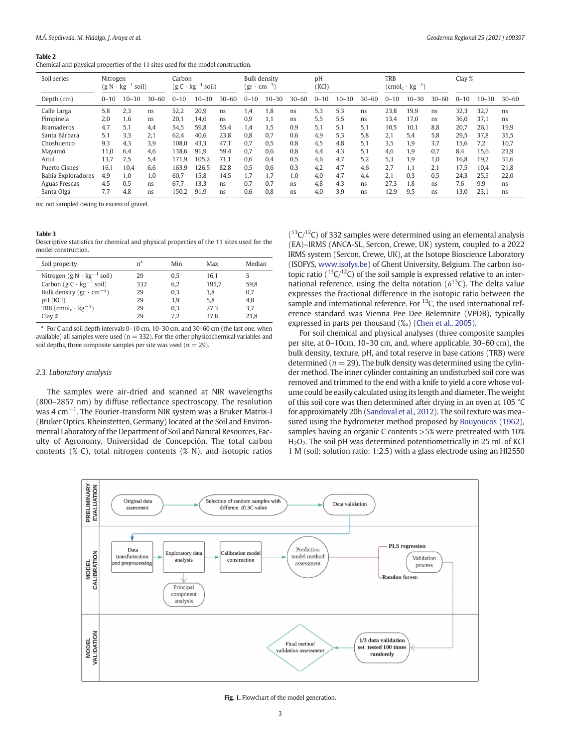#### <span id="page-2-0"></span>Table 2

Chemical and physical properties of the 11 sites used for the model construction.

| Soil series          | Nitrogen<br>$(g N \cdot kg^{-1})$ | soil)     |           | Carbon   | $(g C \cdot kg^{-1} sol)$ |           | <b>Bulk density</b><br>(gr | $\cdot$ cm <sup>-3</sup> |           | DH<br>(KCl) |           |           | TRB      | $(\text{cmol}_c \cdot \text{kg}^{-1})$ |           | Clay $%$ |           |           |
|----------------------|-----------------------------------|-----------|-----------|----------|---------------------------|-----------|----------------------------|--------------------------|-----------|-------------|-----------|-----------|----------|----------------------------------------|-----------|----------|-----------|-----------|
| Depth (cm)           | $0 - 10$                          | $10 - 30$ | $30 - 60$ | $0 - 10$ | $10 - 30$                 | $30 - 60$ | $0 - 10$                   | $10 - 30$                | $30 - 60$ | $0 - 10$    | $10 - 30$ | $30 - 60$ | $0 - 10$ | $10 - 30$                              | $30 - 60$ | $0 - 10$ | $10 - 30$ | $30 - 60$ |
| Calle Larga          | 5,8                               | 2,3       | ns.       | 52,2     | 20.9                      | ns        | 1,4                        | 1.8                      | ns        | 5,3         | 5,3       | ns        | 23,8     | 19,9                                   | ns        | 32.3     | 32,7      | ns        |
| Pimpinela            | 2.0                               | 1.6       | ns.       | 20.1     | 14,6                      | ns        | 0.9                        | 1.1                      | ns        | 5.5         | 5.5       | ns        | 13.4     | 17.0                                   | ns        | 36.0     | 37.1      | ns        |
| <b>Bramaderos</b>    | 4,7                               | 5.1       | 4.4       | 54.5     | 59.8                      | 55.4      | 1.4                        | 1.5                      | 0.9       | 5.1         | 5.1       | 5.1       | 10.5     | 10.1                                   | 8.8       | 20.7     | 26.1      | 19,9      |
| Santa Bárbara        | 5,1                               | 3.3       | 2.1       | 62.4     | 40.6                      | 23.8      | 0.8                        | 0.7                      | 0.6       | 4.9         | 5.3       | 5.8       | 2.1      | 5.4                                    | 5.8       | 29.5     | 37.8      | 35,5      |
| Choshuenco           | 9,3                               | 4.3       | 3.9       | 108.0    | 43.3                      | 47.1      | 0.7                        | 0.5                      | 0.8       | 4.5         | 4.8       | 5.1       | 3.5      | 1.9                                    | 3.7       | 15.6     | 7.2       | 10.7      |
| Mayamó               | 11.0                              | 6.4       | 4.6       | 138.6    | 91.9                      | 59.4      | 0.7                        | 0.6                      | 0.8       | 4.4         | 4.3       | 5,1       | 4.6      | 1.9                                    | 0.7       | 8.4      | 15,6      | 23,9      |
| Aituí                | 13.7                              | 7.5       | 5.4       | 171.9    | 105.2                     | 71.1      | 0.6                        | 0.4                      | 0.5       | 4.6         | 4.7       | 5.2       | 5.3      | 1.9                                    | 1.0       | 16.8     | 19.2      | 31,6      |
| <b>Puerto Cisnes</b> | 16.1                              | 10.4      | 6.6       | 163.9    | 26.5                      | 82.8      | 0.5                        | 0.6                      | 0.3       | 4.2         | 4.7       | 4.6       | 2.7      | 1.1                                    | 2.1       | 17.5     | 10.4      | 21.8      |
| Bahía Exploradores   | 4.9                               | 1.0       | 1.0       | 60.7     | 15.8                      | 14.5      | 1.7                        | 1.7                      | 1.0       | 4.0         | 4,7       | 4,4       | 2.1      | 0.3                                    | 0.5       | 24.3     | 25.5      | 22,0      |
| Aguas Frescas        | 4.5                               | 0.5       | ns        | 67.7     | 13.3                      | ns        | 0.7                        | 0.7                      | ns        | 4.8         | 4.3       | ns        | 27.3     | 1.8                                    | ns        | 7.6      | 9.9       | ns        |
| Santa Olga           | 7,7                               | 4,8       | ns.       | 150,2    | 91,9                      | ns        | 0,6                        | 0,8                      | ns        | 4.0         | 3,9       | ns        | 12,9     | 9.5                                    | ns        | 13,0     | 23.1      | ns        |

ns: not sampled owing to excess of gravel.

#### Table 3

Descriptive statistics for chemical and physical properties of the 11 sites used for the model construction.

| Soil property                              | n <sup>a</sup> | Min | Max   | Median |
|--------------------------------------------|----------------|-----|-------|--------|
| Nitrogen (g $N \cdot kg^{-1}$ soil)        | 29             | 0.5 | 16.1  |        |
| Carbon $(g C \cdot kg^{-1} sol)$           | 332            | 6.2 | 195,7 | 59.8   |
| Bulk density $(gr \cdot cm^{-3})$          | 29             | 0.3 | 1,8   | 0,7    |
| pH (KCI)                                   | 29             | 3.9 | 5,8   | 4,8    |
| TRB $(\text{cmol}_c \cdot \text{kg}^{-1})$ | 29             | 0.3 | 27.3  | 3,7    |
| Clay $\%$                                  | 29             | 7.2 | 37.8  | 21,8   |

 $a$  For C and soil depth intervals 0–10 cm, 10–30 cm, and 30–60 cm (the last one, when available) all samples were used ( $n = 332$ ). For the other physicochemical variables and soil depths, three composite samples per site was used ( $n = 29$ ).

# 2.3. Laboratory analysis

The samples were air-dried and scanned at NIR wavelengths (800–2857 nm) by diffuse reflectance spectroscopy. The resolution was 4 cm−<sup>1</sup> . The Fourier-transform NIR system was a Bruker Matrix-I (Bruker Optics, Rheinstetten, Germany) located at the Soil and Environmental Laboratory of the Department of Soil and Natural Resources, Faculty of Agronomy, Universidad de Concepción. The total carbon contents (% C), total nitrogen contents (% N), and isotopic ratios

 $(13C)^{12}$ C) of 332 samples were determined using an elemental analysis (EA)–IRMS (ANCA-SL, Sercon, Crewe, UK) system, coupled to a 2022 IRMS system (Sercon, Crewe, UK), at the Isotope Bioscience Laboratory (ISOFYS, [www.isofys.be](http://www.isofys.be)) of Ghent University, Belgium. The carbon isotopic ratio ( $^{13}C^{12}C$ ) of the soil sample is expressed relative to an international reference, using the delta notation ( $\delta^{13}$ C). The delta value expresses the fractional difference in the isotopic ratio between the sample and international reference. For  $^{13}$ C, the used international reference standard was Vienna Pee Dee Belemnite (VPDB), typically expressed in parts per thousand (‰) [\(Chen et al., 2005](#page-7-0)).

For soil chemical and physical analyses (three composite samples per site, at 0–10cm, 10–30 cm, and, where applicable, 30–60 cm), the bulk density, texture, pH, and total reserve in base cations (TRB) were determined ( $n = 29$ ). The bulk density was determined using the cylinder method. The inner cylinder containing an undisturbed soil core was removed and trimmed to the end with a knife to yield a core whose volume could be easily calculated using its length and diameter. The weight of this soil core was then determined after drying in an oven at 105 °C for approximately 20h ([Sandoval et al., 2012\)](#page-7-0). The soil texture was measured using the hydrometer method proposed by [Bouyoucos \(1962\)](#page-7-0), samples having an organic C contents >5% were pretreated with 10% H<sub>2</sub>O<sub>2</sub>. The soil pH was determined potentiometrically in 25 mL of KCl 1 M (soil: solution ratio: 1:2.5) with a glass electrode using an HI2550



Fig. 1. Flowchart of the model generation.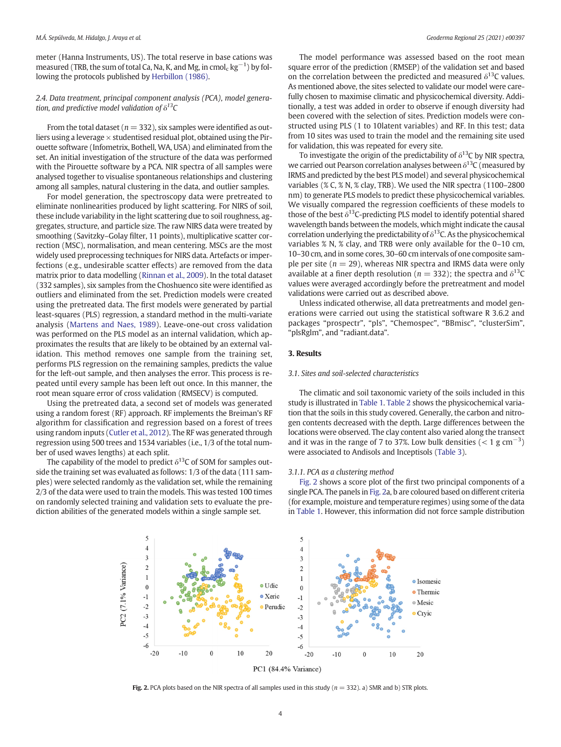<span id="page-3-0"></span>meter (Hanna Instruments, US). The total reserve in base cations was measured (TRB, the sum of total Ca, Na, K, and Mg, in cmol $_{\rm c}$  kg $^{-1}$ ) by following the protocols published by [Herbillon \(1986\)](#page-7-0).

2.4. Data treatment, principal component analysis (PCA), model generation, and predictive model validation of  $\delta^{13}C$ 

From the total dataset ( $n = 332$ ), six samples were identified as outliers using a leverage  $\times$  studentised residual plot, obtained using the Pirouette software (Infometrix, Bothell, WA, USA) and eliminated from the set. An initial investigation of the structure of the data was performed with the Pirouette software by a PCA. NIR spectra of all samples were analysed together to visualise spontaneous relationships and clustering among all samples, natural clustering in the data, and outlier samples.

For model generation, the spectroscopy data were pretreated to eliminate nonlinearities produced by light scattering. For NIRS of soil, these include variability in the light scattering due to soil roughness, aggregates, structure, and particle size. The raw NIRS data were treated by smoothing (Savitzky–Golay filter, 11 points), multiplicative scatter correction (MSC), normalisation, and mean centering. MSCs are the most widely used preprocessing techniques for NIRS data. Artefacts or imperfections (e.g., undesirable scatter effects) are removed from the data matrix prior to data modelling ([Rinnan et al., 2009\)](#page-7-0). In the total dataset (332 samples), six samples from the Choshuenco site were identified as outliers and eliminated from the set. Prediction models were created using the pretreated data. The first models were generated by partial least-squares (PLS) regression, a standard method in the multi-variate analysis [\(Martens and Naes, 1989\)](#page-7-0). Leave-one-out cross validation was performed on the PLS model as an internal validation, which approximates the results that are likely to be obtained by an external validation. This method removes one sample from the training set, performs PLS regression on the remaining samples, predicts the value for the left-out sample, and then analyses the error. This process is repeated until every sample has been left out once. In this manner, the root mean square error of cross validation (RMSECV) is computed.

Using the pretreated data, a second set of models was generated using a random forest (RF) approach. RF implements the Breiman's RF algorithm for classification and regression based on a forest of trees using random inputs ([Cutler et al., 2012](#page-7-0)). The RF was generated through regression using 500 trees and 1534 variables (i.e., 1/3 of the total number of used waves lengths) at each split.

The capability of the model to predict  $\delta^{13}$ C of SOM for samples outside the training set was evaluated as follows: 1/3 of the data (111 samples) were selected randomly as the validation set, while the remaining 2/3 of the data were used to train the models. This was tested 100 times on randomly selected training and validation sets to evaluate the prediction abilities of the generated models within a single sample set.

The model performance was assessed based on the root mean square error of the prediction (RMSEP) of the validation set and based on the correlation between the predicted and measured  $\delta^{13}$ C values. As mentioned above, the sites selected to validate our model were carefully chosen to maximise climatic and physicochemical diversity. Additionally, a test was added in order to observe if enough diversity had been covered with the selection of sites. Prediction models were constructed using PLS (1 to 10latent variables) and RF. In this test; data from 10 sites was used to train the model and the remaining site used for validation, this was repeated for every site.

To investigate the origin of the predictability of  $\delta^{13}$ C by NIR spectra, we carried out Pearson correlation analyses between  $\delta^{13}$ C (measured by IRMS and predicted by the best PLS model) and several physicochemical variables (% C, % N, % clay, TRB). We used the NIR spectra (1100–2800 nm) to generate PLS models to predict these physicochemical variables. We visually compared the regression coefficients of these models to those of the best  $\delta^{13}$ C-predicting PLS model to identify potential shared wavelength bands between the models, which might indicate the causal correlation underlying the predictability of  $\delta^{13}$ C. As the physicochemical variables % N, % clay, and TRB were only available for the 0–10 cm, 10–30 cm, and in some cores, 30–60 cm intervals of one composite sample per site ( $n = 29$ ), whereas NIR spectra and IRMS data were only available at a finer depth resolution ( $n = 332$ ); the spectra and  $\delta^{13}C$ values were averaged accordingly before the pretreatment and model validations were carried out as described above.

Unless indicated otherwise, all data pretreatments and model generations were carried out using the statistical software R 3.6.2 and packages "prospectr", "pls", "Chemospec", "BBmisc", "clusterSim", "plsRglm", and "radiant.data".

# 3. Results

## 3.1. Sites and soil-selected characteristics

The climatic and soil taxonomic variety of the soils included in this study is illustrated in [Table 1](#page-1-0). [Table 2](#page-2-0) shows the physicochemical variation that the soils in this study covered. Generally, the carbon and nitrogen contents decreased with the depth. Large differences between the locations were observed. The clay content also varied along the transect and it was in the range of 7 to 37%. Low bulk densities  $(< 1 \text{ g cm}^{-3})$ were associated to Andisols and Inceptisols ([Table 3](#page-2-0)).

# 3.1.1. PCA as a clustering method

Fig. 2 shows a score plot of the first two principal components of a single PCA. The panels in Fig. 2a, b are coloured based on different criteria (for example, moisture and temperature regimes) using some of the data in [Table 1.](#page-1-0) However, this information did not force sample distribution



Fig. 2. PCA plots based on the NIR spectra of all samples used in this study ( $n = 332$ ). a) SMR and b) STR plots.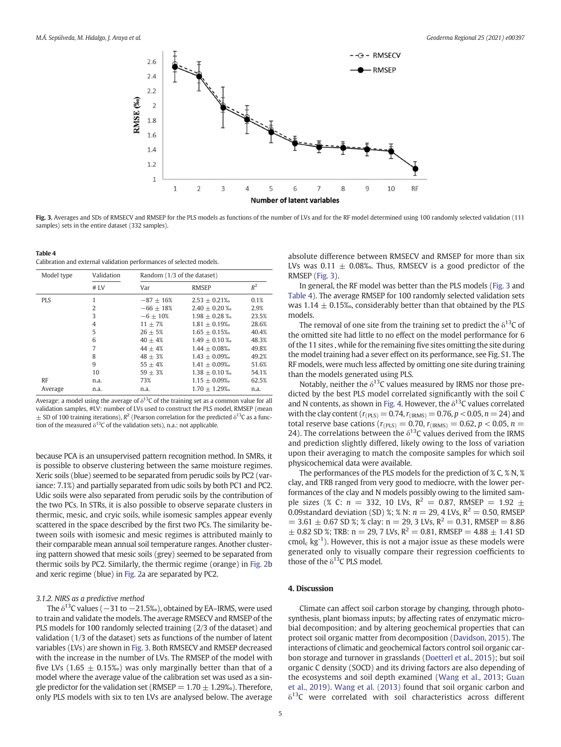<span id="page-4-0"></span>

Fig. 3. Averages and SDs of RMSECV and RMSEP for the PLS models as functions of the number of LVs and for the RF model determined using 100 randomly selected validation (111 samples) sets in the entire dataset (332 samples).

| Table 4                                                              |
|----------------------------------------------------------------------|
| Calibration and external validation performances of selected models. |

| Model type | Validation     | Random (1/3 of the dataset) |                   |       |  |  |  |  |
|------------|----------------|-----------------------------|-------------------|-------|--|--|--|--|
|            | $#$ I.V        | Var                         | <b>RMSEP</b>      | $R^2$ |  |  |  |  |
| <b>PLS</b> | 1              | $-87 + 16%$                 | $2.53 \pm 0.21\%$ | 0.1%  |  |  |  |  |
|            | 2              | $-66 + 18%$                 | $2.40 + 0.20\%$   | 2.9%  |  |  |  |  |
|            | 3              | $-6 + 10\%$                 | $1.98 + 0.28 %$   | 23.5% |  |  |  |  |
|            | $\overline{4}$ | $11 + 7%$                   | $1.81 + 0.19%$    | 28.6% |  |  |  |  |
|            | 5              | $26 + 5%$                   | $1.65 + 0.15%$    | 40.4% |  |  |  |  |
|            | 6              | $40 + 4%$                   | $1.49 + 0.10\%$   | 48.3% |  |  |  |  |
|            | 7              | $44 + 4%$                   | $1.44 + 0.08%$    | 49.8% |  |  |  |  |
|            | 8              | $48 + 3%$                   | $1.43 + 0.09\%$   | 49.2% |  |  |  |  |
|            | 9              | $55 + 4%$                   | $1.41 + 0.09%$    | 51.6% |  |  |  |  |
|            | 10             | $59 + 3%$                   | $1.38 \pm 0.10$ % | 54.1% |  |  |  |  |
| <b>RF</b>  | n.a.           | 73%                         | $1.15 + 0.09%$    | 62.5% |  |  |  |  |
| Average    | n.a.           | n.a.                        | $1.70 + 1.29%$    | n.a.  |  |  |  |  |

Average: a model using the average of  $\delta^{13}$ C of the training set as a common value for all validation samples, #LV: number of LVs used to construct the PLS model, RMSEP (mean  $\pm$  SD of 100 training iterations),  $R^2$  (Pearson correlation for the predicted  $\delta^{13}C$  as a function of the measured  $\delta^{13}$ C of the validation sets), n.a.: not applicable.

because PCA is an unsupervised pattern recognition method. In SMRs, it is possible to observe clustering between the same moisture regimes. Xeric soils (blue) seemed to be separated from perudic soils by PC2 (variance: 7.1%) and partially separated from udic soils by both PC1 and PC2. Udic soils were also separated from perudic soils by the contribution of the two PCs. In STRs, it is also possible to observe separate clusters in thermic, mesic, and cryic soils, while isomesic samples appear evenly scattered in the space described by the first two PCs. The similarity between soils with isomesic and mesic regimes is attributed mainly to their comparable mean annual soil temperature ranges. Another clustering pattern showed that mesic soils (grey) seemed to be separated from thermic soils by PC2. Similarly, the thermic regime (orange) in [Fig. 2b](#page-3-0) and xeric regime (blue) in [Fig. 2a](#page-3-0) are separated by PC2.

# 3.1.2. NIRS as a predictive method

The  $\delta^{13}$ C values ( $-31$  to  $-21.5%$ ), obtained by EA–IRMS, were used to train and validate the models. The average RMSECV and RMSEP of the PLS models for 100 randomly selected training (2/3 of the dataset) and validation (1/3 of the dataset) sets as functions of the number of latent variables (LVs) are shown in Fig. 3. Both RMSECV and RMSEP decreased with the increase in the number of LVs. The RMSEP of the model with five LVs (1.65  $\pm$  0.15‰) was only marginally better than that of a model where the average value of the calibration set was used as a single predictor for the validation set (RMSEP =  $1.70 \pm 1.29$ %). Therefore, only PLS models with six to ten LVs are analysed below. The average absolute difference between RMSECV and RMSEP for more than six LVs was  $0.11 \pm 0.08$ %. Thus, RMSECV is a good predictor of the RMSEP (Fig. 3).

In general, the RF model was better than the PLS models (Fig. 3 and Table 4). The average RMSEP for 100 randomly selected validation sets was 1.14  $\pm$  0.15‰, considerably better than that obtained by the PLS models.

The removal of one site from the training set to predict the  $\delta^{13}$ C of the omitted site had little to no effect on the model performance for 6 of the 11 sites , while for the remaining five sites omitting the site during the model training had a sever effect on its performance, see Fig. S1. The RF models, were much less affected by omitting one site during training than the models generated using PLS.

Notably, neither the  $\delta^{13}$ C values measured by IRMS nor those predicted by the best PLS model correlated significantly with the soil C and N contents, as shown in [Fig. 4](#page-5-0). However, the  $\delta^{13}$ C values correlated with the clay content ( $r_{(PLS)} = 0.74$ ,  $r_{(IRMS)} = 0.76$ ,  $p < 0.05$ ,  $n = 24$ ) and total reserve base cations ( $r_{(PLS)} = 0.70$ ,  $r_{(IRMS)} = 0.62$ ,  $p < 0.05$ ,  $n =$ 24). The correlations between the  $\delta^{13}$ C values derived from the IRMS and prediction slightly differed, likely owing to the loss of variation upon their averaging to match the composite samples for which soil physicochemical data were available.

The performances of the PLS models for the prediction of % C, % N, % clay, and TRB ranged from very good to mediocre, with the lower performances of the clay and N models possibly owing to the limited sample sizes (% C:  $n = 332$ , 10 LVs,  $R^2 = 0.87$ , RMSEP = 1.92  $\pm$ 0.09standard deviation (SD) %; % N:  $n = 29$ , 4 LVs,  $R^2 = 0.50$ , RMSEP  $= 3.61 \pm 0.67$  SD %; % clay: n = 29, 3 LVs, R<sup>2</sup> = 0.31, RMSEP = 8.86  $\pm$  0.82 SD %; TRB: n = 29, 7 LVs, R<sup>2</sup> = 0.81, RMSEP = 4.88  $\pm$  1.41 SD  $\text{cmol}_c$  kg<sup>-1</sup>). However, this is not a major issue as these models were generated only to visually compare their regression coefficients to those of the  $\delta^{13}$ C PLS model.

# 4. Discussion

Climate can affect soil carbon storage by changing, through photosynthesis, plant biomass inputs; by affecting rates of enzymatic microbial decomposition; and by altering geochemical properties that can protect soil organic matter from decomposition [\(Davidson, 2015\)](#page-7-0). The interactions of climatic and geochemical factors control soil organic carbon storage and turnover in grasslands ([Doetterl et al., 2015](#page-7-0)); but soil organic C density (SOCD) and its driving factors are also depending of the ecosystems and soil depth examined ([Wang et al., 2013](#page-7-0); [Guan](#page-7-0) [et al., 2019](#page-7-0)). [Wang et al. \(2013\)](#page-7-0) found that soil organic carbon and  $\delta^{13}$ C were correlated with soil characteristics across different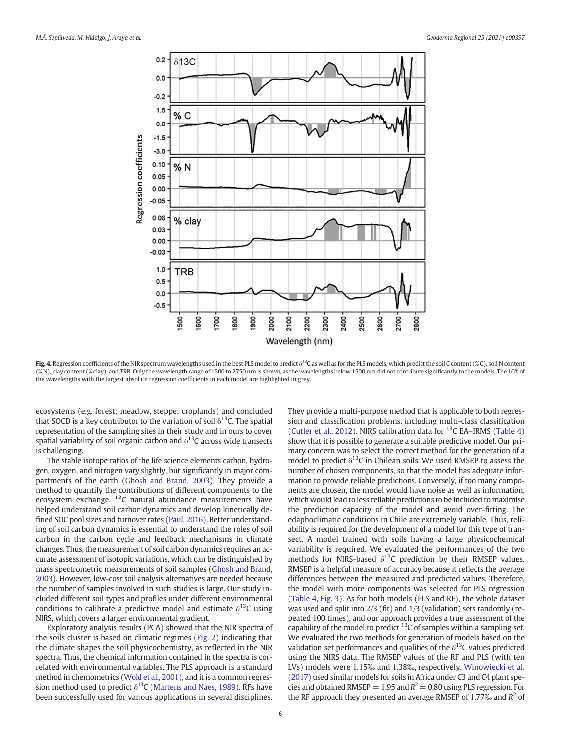<span id="page-5-0"></span>

Fig. 4. Regression coefficients of the NIR spectrum wavelengths used in the best PLS model to predict  $\delta^{13}C$  as well as for the PLS models, which predict the soil C content (% C), soil N content (% N), clay content (% clay), and TRB. Only the wavelength range of 1500 to 2750 nm is shown, as the wavelengths below 1500 nm did not contribute significantly to the models. The 10% of the wavelengths with the largest absolute regression coefficients in each model are highlighted in grey.

ecosystems (e.g. forest; meadow, steppe; croplands) and concluded that SOCD is a key contributor to the variation of soil  $\delta^{13}$ C. The spatial representation of the sampling sites in their study and in ours to cover spatial variability of soil organic carbon and  $\delta^{13}$ C across wide transects is challenging.

The stable isotope ratios of the life science elements carbon, hydrogen, oxygen, and nitrogen vary slightly, but significantly in major compartments of the earth ([Ghosh and Brand, 2003\)](#page-7-0). They provide a method to quantify the contributions of different components to the ecosystem exchange.  $^{13}$ C natural abundance measurements have helped understand soil carbon dynamics and develop kinetically defined SOC pool sizes and turnover rates [\(Paul, 2016\)](#page-7-0). Better understanding of soil carbon dynamics is essential to understand the roles of soil carbon in the carbon cycle and feedback mechanisms in climate changes. Thus, the measurement of soil carbon dynamics requires an accurate assessment of isotopic variations, which can be distinguished by mass spectrometric measurements of soil samples [\(Ghosh and Brand,](#page-7-0) [2003\)](#page-7-0). However, low-cost soil analysis alternatives are needed because the number of samples involved in such studies is large. Our study included different soil types and profiles under different environmental conditions to calibrate a predictive model and estimate  $\delta^{13}$ C using NIRS, which covers a larger environmental gradient.

Exploratory analysis results (PCA) showed that the NIR spectra of the soils cluster is based on climatic regimes [\(Fig. 2](#page-3-0)) indicating that the climate shapes the soil physicochemistry, as reflected in the NIR spectra. Thus, the chemical information contained in the spectra is correlated with environmental variables. The PLS approach is a standard method in chemometrics [\(Wold et al., 2001\)](#page-7-0), and it is a common regression method used to predict  $\delta^{13}$ C [\(Martens and Naes, 1989](#page-7-0)). RFs have been successfully used for various applications in several disciplines.

They provide a multi-purpose method that is applicable to both regression and classification problems, including multi-class classification ([Cutler et al., 2012](#page-7-0)). NIRS calibration data for  $^{13}$ C EA–IRMS [\(Table 4\)](#page-4-0) show that it is possible to generate a suitable predictive model. Our primary concern was to select the correct method for the generation of a model to predict  $\delta^{13}$ C in Chilean soils. We used RMSEP to assess the number of chosen components, so that the model has adequate information to provide reliable predictions. Conversely, if too many components are chosen, the model would have noise as well as information, which would lead to less reliable predictions to be included to maximise the prediction capacity of the model and avoid over-fitting. The edaphoclimatic conditions in Chile are extremely variable. Thus, reliability is required for the development of a model for this type of transect. A model trained with soils having a large physicochemical variability is required. We evaluated the performances of the two methods for NIRS-based  $\delta^{13}$ C prediction by their RMSEP values. RMSEP is a helpful measure of accuracy because it reflects the average differences between the measured and predicted values. Therefore, the model with more components was selected for PLS regression ([Table 4](#page-4-0), [Fig. 3](#page-4-0)). As for both models (PLS and RF), the whole dataset was used and split into 2/3 (fit) and 1/3 (validation) sets randomly (repeated 100 times), and our approach provides a true assessment of the capability of the model to predict  $^{13}$ C of samples within a sampling set. We evaluated the two methods for generation of models based on the validation set performances and qualities of the  $\delta^{13}$ C values predicted using the NIRS data. The RMSEP values of the RF and PLS (with ten LVs) models were 1.15‰ and 1.38‰, respectively. [Winowiecki et al.](#page-7-0) [\(2017\)](#page-7-0) used similar models for soils in Africa under C3 and C4 plant species and obtained RMSEP = 1.95 and  $R^2$  = 0.80 using PLS regression. For the RF approach they presented an average RMSEP of 1.77‰ and  $R^2$  of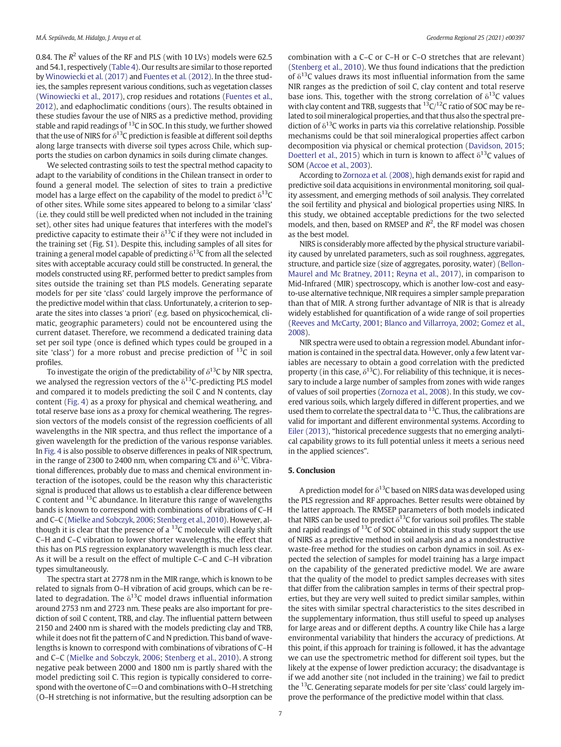0.84. The  $R^2$  values of the RF and PLS (with 10 LVs) models were 62.5 and 54.1, respectively ([Table 4\)](#page-4-0). Our results are similar to those reported by [Winowiecki et al. \(2017\)](#page-7-0) and [Fuentes et al. \(2012\).](#page-7-0) In the three studies, the samples represent various conditions, such as vegetation classes ([Winowiecki et al., 2017](#page-7-0)), crop residues and rotations ([Fuentes et al.,](#page-7-0) [2012](#page-7-0)), and edaphoclimatic conditions (ours). The results obtained in these studies favour the use of NIRS as a predictive method, providing stable and rapid readings of <sup>13</sup>C in SOC. In this study, we further showed that the use of NIRS for  $\delta^{13}$ C prediction is feasible at different soil depths along large transects with diverse soil types across Chile, which supports the studies on carbon dynamics in soils during climate changes.

We selected contrasting soils to test the spectral method capacity to adapt to the variability of conditions in the Chilean transect in order to found a general model. The selection of sites to train a predictive model has a large effect on the capability of the model to predict  $\delta^{13}C$ of other sites. While some sites appeared to belong to a similar 'class' (i.e. they could still be well predicted when not included in the training set), other sites had unique features that interferes with the model's predictive capacity to estimate their  $\delta^{13}$ C if they were not included in the training set (Fig. S1). Despite this, including samples of all sites for training a general model capable of predicting  $\delta^{13}$ C from all the selected sites with acceptable accuracy could still be constructed. In general, the models constructed using RF, performed better to predict samples from sites outside the training set than PLS models. Generating separate models for per site 'class' could largely improve the performance of the predictive model within that class. Unfortunately, a criterion to separate the sites into classes 'a priori' (e.g. based on physicochemical, climatic, geographic parameters) could not be encountered using the current dataset. Therefore, we recommend a dedicated training data set per soil type (once is defined which types could be grouped in a site 'class') for a more robust and precise prediction of  $^{13}C$  in soil profiles.

To investigate the origin of the predictability of  $\delta^{13}$ C by NIR spectra, we analysed the regression vectors of the  $\delta^{13}$ C-predicting PLS model and compared it to models predicting the soil C and N contents, clay content ([Fig. 4\)](#page-5-0) as a proxy for physical and chemical weathering, and total reserve base ions as a proxy for chemical weathering. The regression vectors of the models consist of the regression coefficients of all wavelengths in the NIR spectra, and thus reflect the importance of a given wavelength for the prediction of the various response variables. In [Fig. 4](#page-5-0) is also possible to observe differences in peaks of NIR spectrum, in the range of 2300 to 2400 nm, when comparing C% and  $\delta^{13}$ C. Vibrational differences, probably due to mass and chemical environment interaction of the isotopes, could be the reason why this characteristic signal is produced that allows us to establish a clear difference between C content and 13C abundance. In literature this range of wavelengths bands is known to correspond with combinations of vibrations of C–H and C–C ([Mielke and Sobczyk, 2006](#page-7-0); [Stenberg et al., 2010](#page-7-0)). However, although it is clear that the presence of a  $^{13}$ C molecule will clearly shift C–H and C–C vibration to lower shorter wavelengths, the effect that this has on PLS regression explanatory wavelength is much less clear. As it will be a result on the effect of multiple C–C and C–H vibration types simultaneously.

The spectra start at 2778 nm in the MIR range, which is known to be related to signals from O–H vibration of acid groups, which can be related to degradation. The  $\delta^{13}$ C model draws influential information around 2753 nm and 2723 nm. These peaks are also important for prediction of soil C content, TRB, and clay. The influential pattern between 2150 and 2400 nm is shared with the models predicting clay and TRB, while it does not fit the pattern of C and N prediction. This band of wavelengths is known to correspond with combinations of vibrations of C–H and C–C [\(Mielke and Sobczyk, 2006](#page-7-0); [Stenberg et al., 2010](#page-7-0)). A strong negative peak between 2000 and 1800 nm is partly shared with the model predicting soil C. This region is typically considered to correspond with the overtone of  $C=O$  and combinations with O–H stretching (O–H stretching is not informative, but the resulting adsorption can be

combination with a C–C or C–H or C–O stretches that are relevant) ([Stenberg et al., 2010\)](#page-7-0). We thus found indications that the prediction of  $\delta^{13}$ C values draws its most influential information from the same NIR ranges as the prediction of soil C, clay content and total reserve base ions. This, together with the strong correlation of  $\delta^{13}$ C values with clay content and TRB, suggests that  ${}^{13}C/{}^{12}C$  ratio of SOC may be related to soil mineralogical properties, and that thus also the spectral prediction of  $\delta^{13}$ C works in parts via this correlative relationship. Possible mechanisms could be that soil mineralogical properties affect carbon decomposition via physical or chemical protection ([Davidson, 2015](#page-7-0); [Doetterl et al., 2015](#page-7-0)) which in turn is known to affect  $\delta^{13}$ C values of SOM ([Accoe et al., 2003](#page-7-0)).

According to [Zornoza et al. \(2008\),](#page-7-0) high demands exist for rapid and predictive soil data acquisitions in environmental monitoring, soil quality assessment, and emerging methods of soil analysis. They correlated the soil fertility and physical and biological properties using NIRS. In this study, we obtained acceptable predictions for the two selected models, and then, based on RMSEP and  $R^2$ , the RF model was chosen as the best model.

NIRS is considerably more affected by the physical structure variability caused by unrelated parameters, such as soil roughness, aggregates, structure, and particle size (size of aggregates, porosity, water) ([Bellon-](#page-7-0)[Maurel and Mc Bratney, 2011;](#page-7-0) [Reyna et al., 2017\)](#page-7-0), in comparison to Mid-Infrared (MIR) spectroscopy, which is another low-cost and easyto-use alternative technique, NIR requires a simpler sample preparation than that of MIR. A strong further advantage of NIR is that is already widely established for quantification of a wide range of soil properties ([Reeves and McCarty, 2001;](#page-7-0) [Blanco and Villarroya, 2002](#page-7-0); [Gomez et al.,](#page-7-0) [2008\)](#page-7-0).

NIR spectra were used to obtain a regression model. Abundant information is contained in the spectral data. However, only a few latent variables are necessary to obtain a good correlation with the predicted property (in this case,  $\delta^{13}C$ ). For reliability of this technique, it is necessary to include a large number of samples from zones with wide ranges of values of soil properties ([Zornoza et al., 2008\)](#page-7-0). In this study, we covered various soils, which largely differed in different properties, and we used them to correlate the spectral data to  $^{13}$ C. Thus, the calibrations are valid for important and different environmental systems. According to [Eiler \(2013\)](#page-7-0), "historical precedence suggests that no emerging analytical capability grows to its full potential unless it meets a serious need in the applied sciences".

# 5. Conclusion

A prediction model for  $\delta^{13}$ C based on NIRS data was developed using the PLS regression and RF approaches. Better results were obtained by the latter approach. The RMSEP parameters of both models indicated that NIRS can be used to predict  $\delta^{13}$ C for various soil profiles. The stable and rapid readings of  ${}^{13}$ C of SOC obtained in this study support the use of NIRS as a predictive method in soil analysis and as a nondestructive waste-free method for the studies on carbon dynamics in soil. As expected the selection of samples for model training has a large impact on the capability of the generated predictive model. We are aware that the quality of the model to predict samples decreases with sites that differ from the calibration samples in terms of their spectral properties, but they are very well suited to predict similar samples, within the sites with similar spectral characteristics to the sites described in the supplementary information, thus still useful to speed up analyses for large areas and or different depths. A country like Chile has a large environmental variability that hinders the accuracy of predictions. At this point, if this approach for training is followed, it has the advantage we can use the spectrometric method for different soil types, but the likely at the expense of lower prediction accuracy; the disadvantage is if we add another site (not included in the training) we fail to predict the  $^{13}$ C. Generating separate models for per site 'class' could largely improve the performance of the predictive model within that class.